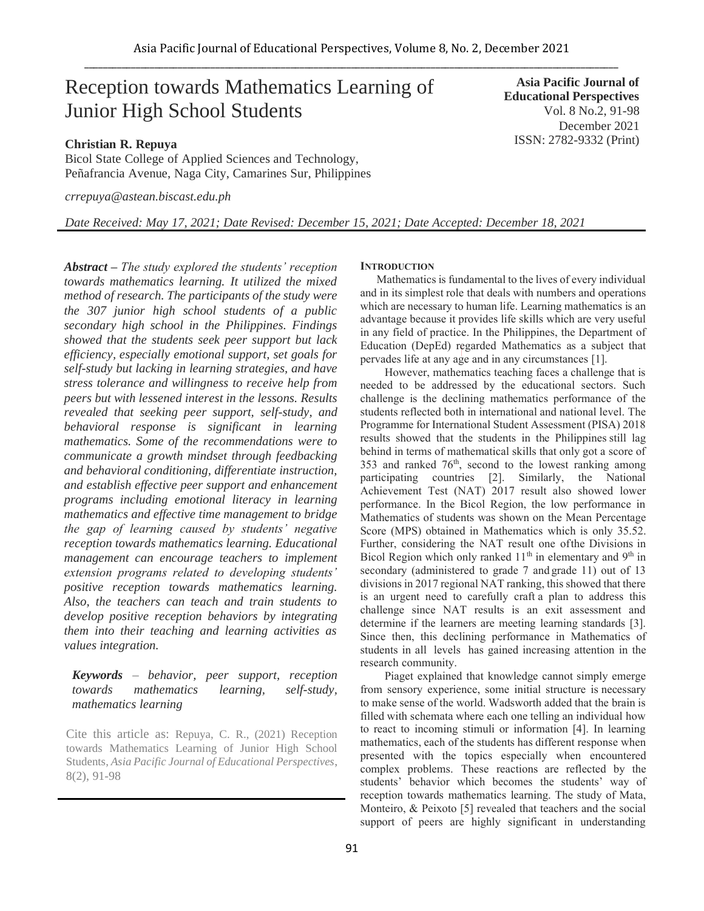# Reception towards Mathematics Learning of Junior High School Students

**Asia Pacific Journal of Educational Perspectives**  Vol. 8 No.2, 91-98 December 2021 ISSN: 2782-9332 (Print)

# **Christian R. Repuya**

Bicol State College of Applied Sciences and Technology, Peñafrancia Avenue, Naga City, Camarines Sur, Philippines

*[crrepuya@astean.biscast.edu.ph](mailto:crrepuya@astean.biscast.edu.ph)*

*Date Received: May 17, 2021; Date Revised: December 15, 2021; Date Accepted: December 18, 2021*

*Abstract – The study explored the students' reception towards mathematics learning. It utilized the mixed method of research. The participants of the study were the 307 junior high school students of a public secondary high school in the Philippines. Findings showed that the students seek peer support but lack efficiency, especially emotional support, set goals for self-study but lacking in learning strategies, and have stress tolerance and willingness to receive help from peers but with lessened interest in the lessons. Results revealed that seeking peer support, self-study, and behavioral response is significant in learning mathematics. Some of the recommendations were to communicate a growth mindset through feedbacking and behavioral conditioning, differentiate instruction, and establish effective peer support and enhancement programs including emotional literacy in learning mathematics and effective time management to bridge the gap of learning caused by students' negative reception towards mathematics learning. Educational management can encourage teachers to implement extension programs related to developing students' positive reception towards mathematics learning. Also, the teachers can teach and train students to develop positive reception behaviors by integrating them into their teaching and learning activities as values integration.*

# *Keywords – behavior, peer support, reception towards mathematics learning, self-study, mathematics learning*

Cite this article as: Repuya, C. R., (2021) Reception towards Mathematics Learning of Junior High School Students, *Asia Pacific Journal of Educational Perspectives*, 8(2), 91-98

# **INTRODUCTION**

Mathematics is fundamental to the lives of every individual and in its simplest role that deals with numbers and operations which are necessary to human life. Learning mathematics is an advantage because it provides life skills which are very useful in any field of practice. In the Philippines, the Department of Education (DepEd) regarded Mathematics as a subject that pervades life at any age and in any circumstances [1].

However, mathematics teaching faces a challenge that is needed to be addressed by the educational sectors. Such challenge is the declining mathematics performance of the students reflected both in international and national level. The Programme for International Student Assessment (PISA) 2018 results showed that the students in the Philippines still lag behind in terms of mathematical skills that only got a score of 353 and ranked  $76<sup>th</sup>$ , second to the lowest ranking among participating countries [2]. Similarly, the National Achievement Test (NAT) 2017 result also showed lower performance. In the Bicol Region, the low performance in Mathematics of students was shown on the Mean Percentage Score (MPS) obtained in Mathematics which is only 35.52. Further, considering the NAT result one ofthe Divisions in Bicol Region which only ranked 11<sup>th</sup> in elementary and 9<sup>th</sup> in secondary (administered to grade 7 and grade 11) out of 13 divisions in 2017 regional NAT ranking, this showed that there is an urgent need to carefully craft a plan to address this challenge since NAT results is an exit assessment and determine if the learners are meeting learning standards [3]. Since then, this declining performance in Mathematics of students in all levels has gained increasing attention in the research community.

Piaget explained that knowledge cannot simply emerge from sensory experience, some initial structure is necessary to make sense of the world. Wadsworth added that the brain is filled with schemata where each one telling an individual how to react to incoming stimuli or information [4]. In learning mathematics, each of the students has different response when presented with the topics especially when encountered complex problems. These reactions are reflected by the students' behavior which becomes the students' way of reception towards mathematics learning. The study of Mata, Monteiro, & Peixoto [5] revealed that teachers and the social support of peers are highly significant in understanding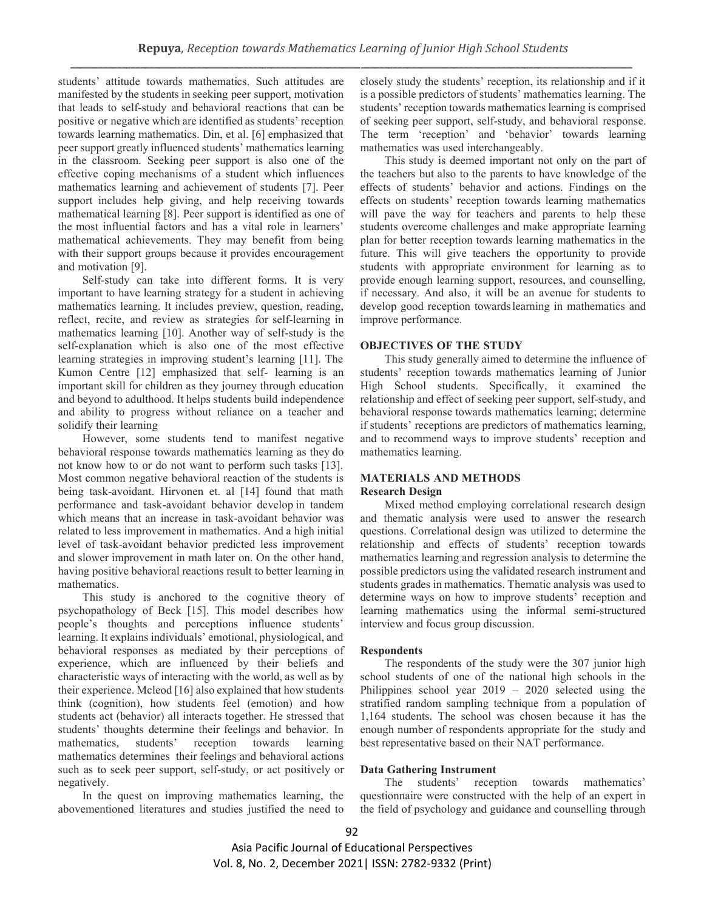students' attitude towards mathematics. Such attitudes are manifested by the students in seeking peer support, motivation that leads to self-study and behavioral reactions that can be positive or negative which are identified as students' reception towards learning mathematics. Din, et al. [6] emphasized that peer support greatly influenced students' mathematics learning in the classroom. Seeking peer support is also one of the effective coping mechanisms of a student which influences mathematics learning and achievement of students [7]. Peer support includes help giving, and help receiving towards mathematical learning [8]. Peer support is identified as one of the most influential factors and has a vital role in learners' mathematical achievements. They may benefit from being with their support groups because it provides encouragement and motivation [9].

Self-study can take into different forms. It is very important to have learning strategy for a student in achieving mathematics learning. It includes preview, question, reading, reflect, recite, and review as strategies for self-learning in mathematics learning [10]. Another way of self-study is the self-explanation which is also one of the most effective learning strategies in improving student's learning [11]. The Kumon Centre [12] emphasized that self- learning is an important skill for children as they journey through education and beyond to adulthood. It helps students build independence and ability to progress without reliance on a teacher and solidify their learning

However, some students tend to manifest negative behavioral response towards mathematics learning as they do not know how to or do not want to perform such tasks [13]. Most common negative behavioral reaction of the students is being task-avoidant. Hirvonen et. al [14] found that math performance and task-avoidant behavior develop in tandem which means that an increase in task-avoidant behavior was related to less improvement in mathematics. And a high initial level of task-avoidant behavior predicted less improvement and slower improvement in math later on. On the other hand, having positive behavioral reactions result to better learning in mathematics.

This study is anchored to the cognitive theory of psychopathology of Beck [15]. This model describes how people's thoughts and perceptions influence students' learning. It explains individuals' emotional, physiological, and behavioral responses as mediated by their perceptions of experience, which are influenced by their beliefs and characteristic ways of interacting with the world, as well as by their experience. Mcleod [16] also explained that how students think (cognition), how students feel (emotion) and how students act (behavior) all interacts together. He stressed that students' thoughts determine their feelings and behavior. In mathematics, students' reception towards learning mathematics determines their feelings and behavioral actions such as to seek peer support, self-study, or act positively or negatively.

In the quest on improving mathematics learning, the abovementioned literatures and studies justified the need to closely study the students' reception, its relationship and if it is a possible predictors of students' mathematics learning. The students' reception towards mathematics learning is comprised of seeking peer support, self-study, and behavioral response. The term 'reception' and 'behavior' towards learning mathematics was used interchangeably.

This study is deemed important not only on the part of the teachers but also to the parents to have knowledge of the effects of students' behavior and actions. Findings on the effects on students' reception towards learning mathematics will pave the way for teachers and parents to help these students overcome challenges and make appropriate learning plan for better reception towards learning mathematics in the future. This will give teachers the opportunity to provide students with appropriate environment for learning as to provide enough learning support, resources, and counselling, if necessary. And also, it will be an avenue for students to develop good reception towardslearning in mathematics and improve performance.

#### **OBJECTIVES OF THE STUDY**

This study generally aimed to determine the influence of students' reception towards mathematics learning of Junior High School students. Specifically, it examined the relationship and effect of seeking peer support, self-study, and behavioral response towards mathematics learning; determine if students' receptions are predictors of mathematics learning, and to recommend ways to improve students' reception and mathematics learning.

#### **MATERIALS AND METHODS Research Design**

Mixed method employing correlational research design and thematic analysis were used to answer the research questions. Correlational design was utilized to determine the relationship and effects of students' reception towards mathematics learning and regression analysis to determine the possible predictors using the validated research instrument and students grades in mathematics. Thematic analysis was used to determine ways on how to improve students' reception and learning mathematics using the informal semi-structured interview and focus group discussion.

#### **Respondents**

The respondents of the study were the 307 junior high school students of one of the national high schools in the Philippines school year 2019 – 2020 selected using the stratified random sampling technique from a population of 1,164 students. The school was chosen because it has the enough number of respondents appropriate for the study and best representative based on their NAT performance.

## **Data Gathering Instrument**

The students' reception towards mathematics' questionnaire were constructed with the help of an expert in the field of psychology and guidance and counselling through

92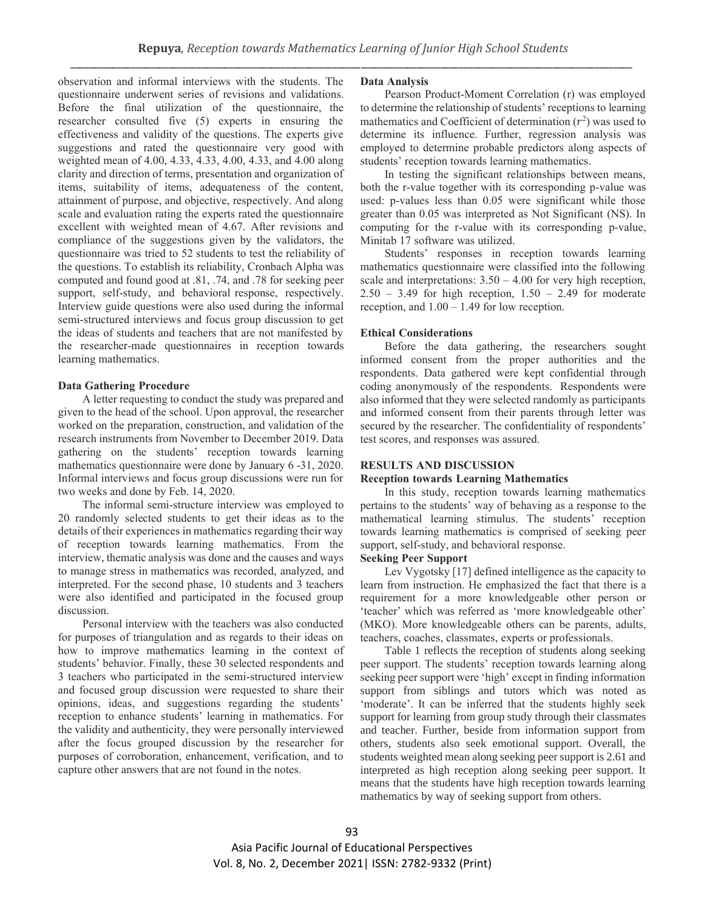observation and informal interviews with the students. The questionnaire underwent series of revisions and validations. Before the final utilization of the questionnaire, the researcher consulted five (5) experts in ensuring the effectiveness and validity of the questions. The experts give suggestions and rated the questionnaire very good with weighted mean of 4.00, 4.33, 4.33, 4.00, 4.33, and 4.00 along clarity and direction of terms, presentation and organization of items, suitability of items, adequateness of the content, attainment of purpose, and objective, respectively. And along scale and evaluation rating the experts rated the questionnaire excellent with weighted mean of 4.67. After revisions and compliance of the suggestions given by the validators, the questionnaire was tried to 52 students to test the reliability of the questions. To establish its reliability, Cronbach Alpha was computed and found good at .81, .74, and .78 for seeking peer support, self-study, and behavioral response, respectively. Interview guide questions were also used during the informal semi-structured interviews and focus group discussion to get the ideas of students and teachers that are not manifested by the researcher-made questionnaires in reception towards learning mathematics.

#### **Data Gathering Procedure**

A letter requesting to conduct the study was prepared and given to the head of the school. Upon approval, the researcher worked on the preparation, construction, and validation of the research instruments from November to December 2019. Data gathering on the students' reception towards learning mathematics questionnaire were done by January 6 -31, 2020. Informal interviews and focus group discussions were run for two weeks and done by Feb. 14, 2020.

The informal semi-structure interview was employed to 20 randomly selected students to get their ideas as to the details of their experiences in mathematics regarding their way of reception towards learning mathematics. From the interview, thematic analysis was done and the causes and ways to manage stress in mathematics was recorded, analyzed, and interpreted. For the second phase, 10 students and 3 teachers were also identified and participated in the focused group discussion.

Personal interview with the teachers was also conducted for purposes of triangulation and as regards to their ideas on how to improve mathematics learning in the context of students' behavior. Finally, these 30 selected respondents and 3 teachers who participated in the semi-structured interview and focused group discussion were requested to share their opinions, ideas, and suggestions regarding the students' reception to enhance students' learning in mathematics. For the validity and authenticity, they were personally interviewed after the focus grouped discussion by the researcher for purposes of corroboration, enhancement, verification, and to capture other answers that are not found in the notes.

#### **Data Analysis**

Pearson Product-Moment Correlation (r) was employed to determine the relationship of students' receptions to learning mathematics and Coefficient of determination  $(r^2)$  was used to determine its influence. Further, regression analysis was employed to determine probable predictors along aspects of students' reception towards learning mathematics.

In testing the significant relationships between means, both the r-value together with its corresponding p-value was used: p-values less than 0.05 were significant while those greater than 0.05 was interpreted as Not Significant (NS). In computing for the r-value with its corresponding p-value, Minitab 17 software was utilized.

Students' responses in reception towards learning mathematics questionnaire were classified into the following scale and interpretations:  $3.50 - 4.00$  for very high reception,  $2.50 - 3.49$  for high reception,  $1.50 - 2.49$  for moderate reception, and  $1.00 - 1.49$  for low reception.

#### **Ethical Considerations**

Before the data gathering, the researchers sought informed consent from the proper authorities and the respondents. Data gathered were kept confidential through coding anonymously of the respondents. Respondents were also informed that they were selected randomly as participants and informed consent from their parents through letter was secured by the researcher. The confidentiality of respondents' test scores, and responses was assured.

#### **RESULTS AND DISCUSSION**

#### **Reception towards Learning Mathematics**

In this study, reception towards learning mathematics pertains to the students' way of behaving as a response to the mathematical learning stimulus. The students' reception towards learning mathematics is comprised of seeking peer support, self-study, and behavioral response.

#### **Seeking Peer Support**

Lev Vygotsky [17] defined intelligence as the capacity to learn from instruction. He emphasized the fact that there is a requirement for a more knowledgeable other person or 'teacher' which was referred as 'more knowledgeable other' (MKO). More knowledgeable others can be parents, adults, teachers, coaches, classmates, experts or professionals.

Table 1 reflects the reception of students along seeking peer support. The students' reception towards learning along seeking peer support were 'high' except in finding information support from siblings and tutors which was noted as 'moderate'. It can be inferred that the students highly seek support for learning from group study through their classmates and teacher. Further, beside from information support from others, students also seek emotional support. Overall, the students weighted mean along seeking peer support is 2.61 and interpreted as high reception along seeking peer support. It means that the students have high reception towards learning mathematics by way of seeking support from others.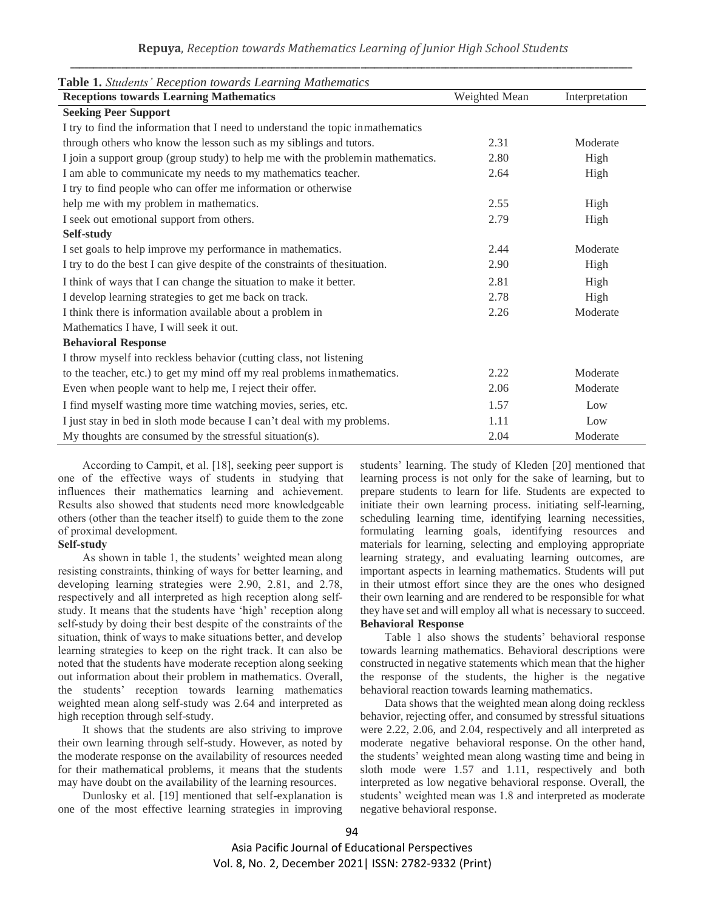| Table 1. Students' Reception towards Learning Mathematics                        |               |                |  |  |  |  |  |
|----------------------------------------------------------------------------------|---------------|----------------|--|--|--|--|--|
| <b>Receptions towards Learning Mathematics</b>                                   | Weighted Mean | Interpretation |  |  |  |  |  |
| <b>Seeking Peer Support</b>                                                      |               |                |  |  |  |  |  |
| I try to find the information that I need to understand the topic inmathematics  |               |                |  |  |  |  |  |
| through others who know the lesson such as my siblings and tutors.               | 2.31          | Moderate       |  |  |  |  |  |
| I join a support group (group study) to help me with the problem in mathematics. | 2.80          | High           |  |  |  |  |  |
| I am able to communicate my needs to my mathematics teacher.                     | 2.64          | High           |  |  |  |  |  |
| I try to find people who can offer me information or otherwise                   |               |                |  |  |  |  |  |
| help me with my problem in mathematics.                                          | 2.55          | High           |  |  |  |  |  |
| I seek out emotional support from others.                                        | 2.79          | High           |  |  |  |  |  |
| Self-study                                                                       |               |                |  |  |  |  |  |
| I set goals to help improve my performance in mathematics.                       | 2.44          | Moderate       |  |  |  |  |  |
| I try to do the best I can give despite of the constraints of the situation.     | 2.90          | High           |  |  |  |  |  |
| I think of ways that I can change the situation to make it better.               | 2.81          | High           |  |  |  |  |  |
| I develop learning strategies to get me back on track.                           | 2.78          | High           |  |  |  |  |  |
| I think there is information available about a problem in                        | 2.26          | Moderate       |  |  |  |  |  |
| Mathematics I have, I will seek it out.                                          |               |                |  |  |  |  |  |
| <b>Behavioral Response</b>                                                       |               |                |  |  |  |  |  |
| I throw myself into reckless behavior (cutting class, not listening              |               |                |  |  |  |  |  |
| to the teacher, etc.) to get my mind off my real problems inmathematics.         | 2.22          | Moderate       |  |  |  |  |  |
| Even when people want to help me, I reject their offer.                          | 2.06          | Moderate       |  |  |  |  |  |
| I find myself wasting more time watching movies, series, etc.                    | 1.57          | Low            |  |  |  |  |  |
| I just stay in bed in sloth mode because I can't deal with my problems.          | 1.11          | Low            |  |  |  |  |  |
| My thoughts are consumed by the stressful situation(s).                          | 2.04          | Moderate       |  |  |  |  |  |

According to Campit, et al. [18], seeking peer support is one of the effective ways of students in studying that influences their mathematics learning and achievement. Results also showed that students need more knowledgeable others (other than the teacher itself) to guide them to the zone of proximal development.

## **Self-study**

As shown in table 1, the students' weighted mean along resisting constraints, thinking of ways for better learning, and developing learning strategies were 2.90, 2.81, and 2.78, respectively and all interpreted as high reception along selfstudy. It means that the students have 'high' reception along self-study by doing their best despite of the constraints of the situation, think of ways to make situations better, and develop learning strategies to keep on the right track. It can also be noted that the students have moderate reception along seeking out information about their problem in mathematics. Overall, the students' reception towards learning mathematics weighted mean along self-study was 2.64 and interpreted as high reception through self-study.

It shows that the students are also striving to improve their own learning through self-study. However, as noted by the moderate response on the availability of resources needed for their mathematical problems, it means that the students may have doubt on the availability of the learning resources.

Dunlosky et al. [19] mentioned that self-explanation is one of the most effective learning strategies in improving

students' learning. The study of Kleden [20] mentioned that learning process is not only for the sake of learning, but to prepare students to learn for life. Students are expected to initiate their own learning process. initiating self-learning, scheduling learning time, identifying learning necessities, formulating learning goals, identifying resources and materials for learning, selecting and employing appropriate learning strategy, and evaluating learning outcomes, are important aspects in learning mathematics. Students will put in their utmost effort since they are the ones who designed their own learning and are rendered to be responsible for what they have set and will employ all what is necessary to succeed. **Behavioral Response**

Table 1 also shows the students' behavioral response towards learning mathematics. Behavioral descriptions were constructed in negative statements which mean that the higher the response of the students, the higher is the negative behavioral reaction towards learning mathematics.

Data shows that the weighted mean along doing reckless behavior, rejecting offer, and consumed by stressful situations were 2.22, 2.06, and 2.04, respectively and all interpreted as moderate negative behavioral response. On the other hand, the students' weighted mean along wasting time and being in sloth mode were 1.57 and 1.11, respectively and both interpreted as low negative behavioral response. Overall, the students' weighted mean was 1.8 and interpreted as moderate negative behavioral response.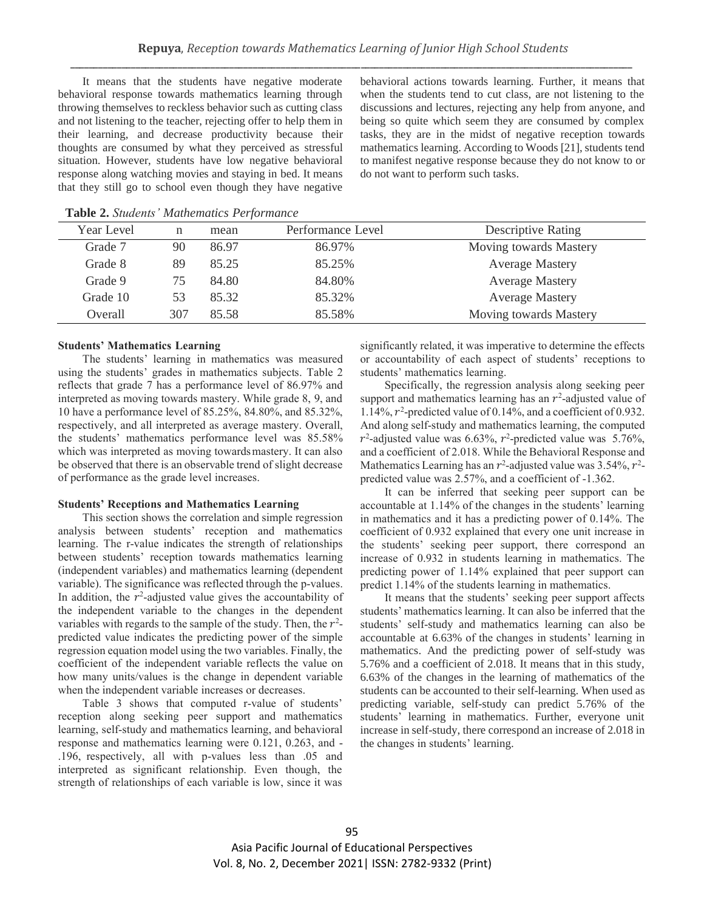It means that the students have negative moderate behavioral response towards mathematics learning through throwing themselves to reckless behavior such as cutting class and not listening to the teacher, rejecting offer to help them in their learning, and decrease productivity because their thoughts are consumed by what they perceived as stressful situation. However, students have low negative behavioral response along watching movies and staying in bed. It means that they still go to school even though they have negative

behavioral actions towards learning. Further, it means that when the students tend to cut class, are not listening to the discussions and lectures, rejecting any help from anyone, and being so quite which seem they are consumed by complex tasks, they are in the midst of negative reception towards mathematics learning. According to Woods [21], students tend to manifest negative response because they do not know to or do not want to perform such tasks.

|     | mean  | Performance Level | <b>Descriptive Rating</b> |
|-----|-------|-------------------|---------------------------|
| 90  | 86.97 | 86.97%            | Moving towards Mastery    |
| 89  | 85.25 | 85.25%            | <b>Average Mastery</b>    |
| 75  | 84.80 | 84.80%            | <b>Average Mastery</b>    |
| 53  | 85.32 | 85.32%            | <b>Average Mastery</b>    |
| 307 | 85.58 | 85.58%            | Moving towards Mastery    |
|     |       |                   |                           |

**Table 2.** *Students' Mathematics Performance*

#### **Students' Mathematics Learning**

The students' learning in mathematics was measured using the students' grades in mathematics subjects. Table 2 reflects that grade 7 has a performance level of 86.97% and interpreted as moving towards mastery. While grade 8, 9, and 10 have a performance level of 85.25%, 84.80%, and 85.32%, respectively, and all interpreted as average mastery. Overall, the students' mathematics performance level was 85.58% which was interpreted as moving towards mastery. It can also be observed that there is an observable trend of slight decrease of performance as the grade level increases.

## **Students' Receptions and Mathematics Learning**

This section shows the correlation and simple regression analysis between students' reception and mathematics learning. The r-value indicates the strength of relationships between students' reception towards mathematics learning (independent variables) and mathematics learning (dependent variable). The significance was reflected through the p-values. In addition, the  $r^2$ -adjusted value gives the accountability of the independent variable to the changes in the dependent variables with regards to the sample of the study. Then, the  $r^2$ predicted value indicates the predicting power of the simple regression equation model using the two variables. Finally, the coefficient of the independent variable reflects the value on how many units/values is the change in dependent variable when the independent variable increases or decreases.

Table 3 shows that computed r-value of students' reception along seeking peer support and mathematics learning, self-study and mathematics learning, and behavioral response and mathematics learning were 0.121, 0.263, and - .196, respectively, all with p-values less than .05 and interpreted as significant relationship. Even though, the strength of relationships of each variable is low, since it was

significantly related, it was imperative to determine the effects or accountability of each aspect of students' receptions to students' mathematics learning.

Specifically, the regression analysis along seeking peer support and mathematics learning has an  $r^2$ -adjusted value of 1.14%, 2 -predicted value of 0.14%, and a coefficient of 0.932. And along self-study and mathematics learning, the computed  $r^2$ -adjusted value was 6.63%,  $r^2$ -predicted value was 5.76%, and a coefficient of 2.018. While the Behavioral Response and Mathematics Learning has an  $r^2$ -adjusted value was 3.54%,  $r^2$ predicted value was 2.57%, and a coefficient of -1.362.

It can be inferred that seeking peer support can be accountable at 1.14% of the changes in the students' learning in mathematics and it has a predicting power of 0.14%. The coefficient of 0.932 explained that every one unit increase in the students' seeking peer support, there correspond an increase of 0.932 in students learning in mathematics. The predicting power of 1.14% explained that peer support can predict 1.14% of the students learning in mathematics.

It means that the students' seeking peer support affects students' mathematics learning. It can also be inferred that the students' self-study and mathematics learning can also be accountable at 6.63% of the changes in students' learning in mathematics. And the predicting power of self-study was 5.76% and a coefficient of 2.018. It means that in this study, 6.63% of the changes in the learning of mathematics of the students can be accounted to their self-learning. When used as predicting variable, self-study can predict 5.76% of the students' learning in mathematics. Further, everyone unit increase in self-study, there correspond an increase of 2.018 in the changes in students' learning.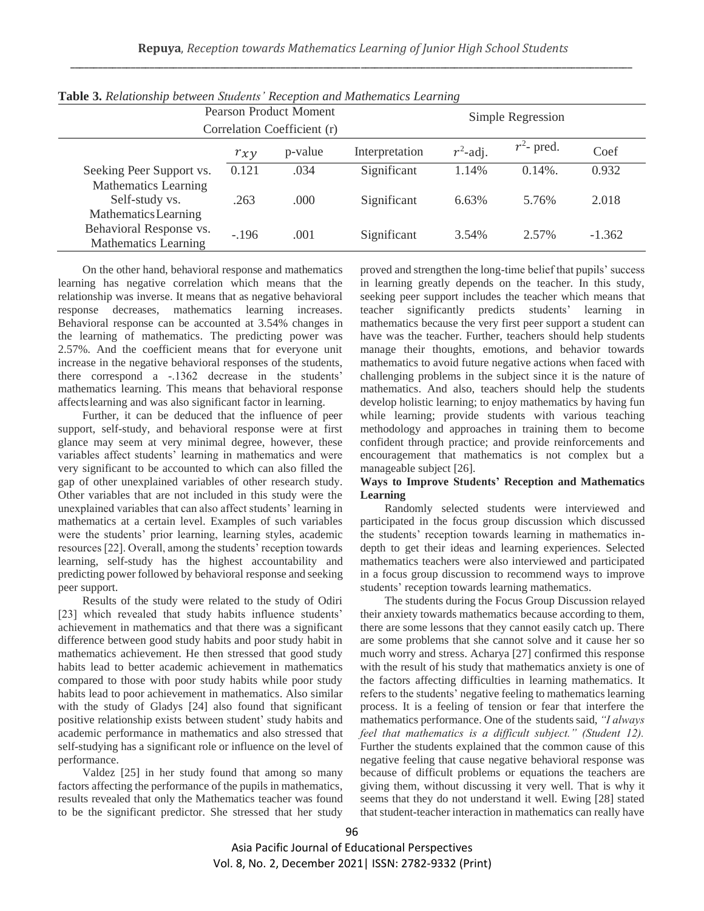| <b>Pearson Product Moment</b><br>Correlation Coefficient (r) |          |         |                | Simple Regression |               |          |
|--------------------------------------------------------------|----------|---------|----------------|-------------------|---------------|----------|
|                                                              | $r_{xy}$ | p-value | Interpretation | $r^2$ -adj.       | $r^2$ - pred. | Coef     |
| Seeking Peer Support vs.<br>Mathematics Learning             | 0.121    | .034    | Significant    | 1.14%             | $0.14\%$ .    | 0.932    |
| Self-study vs.<br>Mathematics Learning                       | .263     | .000    | Significant    | 6.63%             | 5.76%         | 2.018    |
| Behavioral Response vs.<br><b>Mathematics Learning</b>       | $-.196$  | .001    | Significant    | 3.54%             | 2.57%         | $-1.362$ |

**Table 3.** *Relationship between Students' Reception and Mathematics Learning*

On the other hand, behavioral response and mathematics learning has negative correlation which means that the relationship was inverse. It means that as negative behavioral response decreases, mathematics learning increases. Behavioral response can be accounted at 3.54% changes in the learning of mathematics. The predicting power was 2.57%. And the coefficient means that for everyone unit increase in the negative behavioral responses of the students, there correspond a -.1362 decrease in the students' mathematics learning. This means that behavioral response affectslearning and was also significant factor in learning.

Further, it can be deduced that the influence of peer support, self-study, and behavioral response were at first glance may seem at very minimal degree, however, these variables affect students' learning in mathematics and were very significant to be accounted to which can also filled the gap of other unexplained variables of other research study. Other variables that are not included in this study were the unexplained variables that can also affect students' learning in mathematics at a certain level. Examples of such variables were the students' prior learning, learning styles, academic resources [22]. Overall, among the students' reception towards learning, self-study has the highest accountability and predicting power followed by behavioral response and seeking peer support.

Results of the study were related to the study of Odiri [23] which revealed that study habits influence students' achievement in mathematics and that there was a significant difference between good study habits and poor study habit in mathematics achievement. He then stressed that good study habits lead to better academic achievement in mathematics compared to those with poor study habits while poor study habits lead to poor achievement in mathematics. Also similar with the study of Gladys [24] also found that significant positive relationship exists between student' study habits and academic performance in mathematics and also stressed that self-studying has a significant role or influence on the level of performance.

Valdez [25] in her study found that among so many factors affecting the performance of the pupils in mathematics, results revealed that only the Mathematics teacher was found to be the significant predictor. She stressed that her study

proved and strengthen the long-time belief that pupils' success in learning greatly depends on the teacher. In this study, seeking peer support includes the teacher which means that teacher significantly predicts students' learning in mathematics because the very first peer support a student can have was the teacher. Further, teachers should help students manage their thoughts, emotions, and behavior towards mathematics to avoid future negative actions when faced with challenging problems in the subject since it is the nature of mathematics. And also, teachers should help the students develop holistic learning; to enjoy mathematics by having fun while learning; provide students with various teaching methodology and approaches in training them to become confident through practice; and provide reinforcements and encouragement that mathematics is not complex but a manageable subject [26].

## **Ways to Improve Students' Reception and Mathematics Learning**

Randomly selected students were interviewed and participated in the focus group discussion which discussed the students' reception towards learning in mathematics indepth to get their ideas and learning experiences. Selected mathematics teachers were also interviewed and participated in a focus group discussion to recommend ways to improve students' reception towards learning mathematics.

The students during the Focus Group Discussion relayed their anxiety towards mathematics because according to them, there are some lessons that they cannot easily catch up. There are some problems that she cannot solve and it cause her so much worry and stress. Acharya [27] confirmed this response with the result of his study that mathematics anxiety is one of the factors affecting difficulties in learning mathematics. It refers to the students' negative feeling to mathematics learning process. It is a feeling of tension or fear that interfere the mathematics performance. One of the students said, *"I always feel that mathematics is a difficult subject." (Student 12).*  Further the students explained that the common cause of this negative feeling that cause negative behavioral response was because of difficult problems or equations the teachers are giving them, without discussing it very well. That is why it seems that they do not understand it well. Ewing [28] stated that student-teacher interaction in mathematics can really have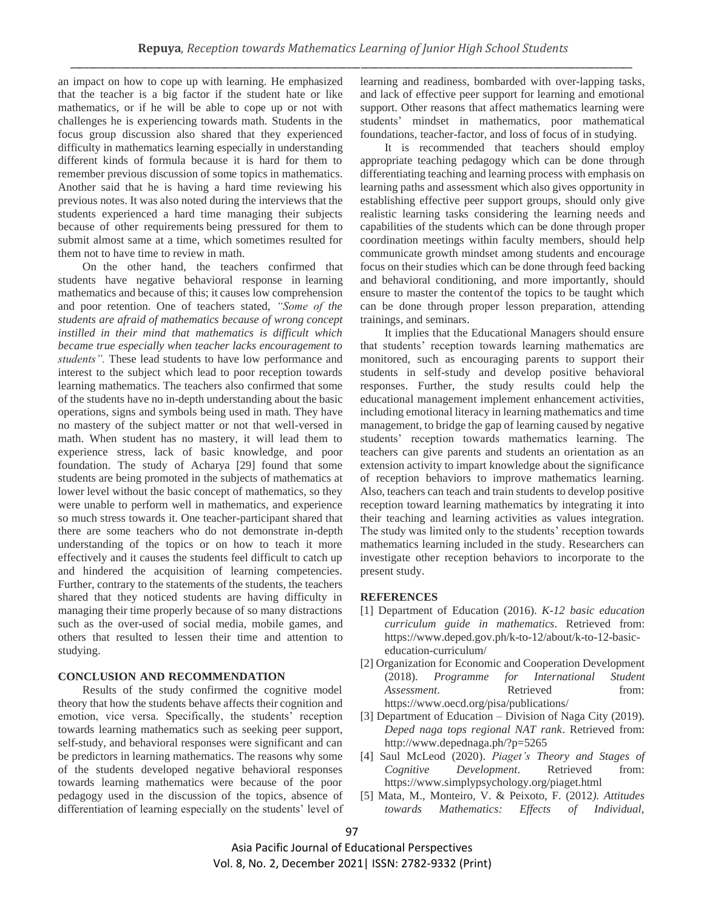an impact on how to cope up with learning. He emphasized that the teacher is a big factor if the student hate or like mathematics, or if he will be able to cope up or not with challenges he is experiencing towards math. Students in the focus group discussion also shared that they experienced difficulty in mathematics learning especially in understanding different kinds of formula because it is hard for them to remember previous discussion of some topics in mathematics. Another said that he is having a hard time reviewing his previous notes. It was also noted during the interviews that the students experienced a hard time managing their subjects because of other requirements being pressured for them to submit almost same at a time, which sometimes resulted for them not to have time to review in math.

On the other hand, the teachers confirmed that students have negative behavioral response in learning mathematics and because of this; it causes low comprehension and poor retention. One of teachers stated, *"Some of the students are afraid of mathematics because of wrong concept instilled in their mind that mathematics is difficult which became true especially when teacher lacks encouragement to students".* These lead students to have low performance and interest to the subject which lead to poor reception towards learning mathematics. The teachers also confirmed that some of the students have no in-depth understanding about the basic operations, signs and symbols being used in math. They have no mastery of the subject matter or not that well-versed in math. When student has no mastery, it will lead them to experience stress, lack of basic knowledge, and poor foundation. The study of Acharya [29] found that some students are being promoted in the subjects of mathematics at lower level without the basic concept of mathematics, so they were unable to perform well in mathematics, and experience so much stress towards it. One teacher-participant shared that there are some teachers who do not demonstrate in-depth understanding of the topics or on how to teach it more effectively and it causes the students feel difficult to catch up and hindered the acquisition of learning competencies. Further, contrary to the statements of the students, the teachers shared that they noticed students are having difficulty in managing their time properly because of so many distractions such as the over-used of social media, mobile games, and others that resulted to lessen their time and attention to studying.

## **CONCLUSION AND RECOMMENDATION**

Results of the study confirmed the cognitive model theory that how the students behave affects their cognition and emotion, vice versa. Specifically, the students' reception towards learning mathematics such as seeking peer support, self-study, and behavioral responses were significant and can be predictors in learning mathematics. The reasons why some of the students developed negative behavioral responses towards learning mathematics were because of the poor pedagogy used in the discussion of the topics, absence of differentiation of learning especially on the students' level of

learning and readiness, bombarded with over-lapping tasks, and lack of effective peer support for learning and emotional support. Other reasons that affect mathematics learning were students' mindset in mathematics, poor mathematical foundations, teacher-factor, and loss of focus of in studying.

It is recommended that teachers should employ appropriate teaching pedagogy which can be done through differentiating teaching and learning process with emphasis on learning paths and assessment which also gives opportunity in establishing effective peer support groups, should only give realistic learning tasks considering the learning needs and capabilities of the students which can be done through proper coordination meetings within faculty members, should help communicate growth mindset among students and encourage focus on their studies which can be done through feed backing and behavioral conditioning, and more importantly, should ensure to master the contentof the topics to be taught which can be done through proper lesson preparation, attending trainings, and seminars.

It implies that the Educational Managers should ensure that students' reception towards learning mathematics are monitored, such as encouraging parents to support their students in self-study and develop positive behavioral responses. Further, the study results could help the educational management implement enhancement activities, including emotional literacy in learning mathematics and time management, to bridge the gap of learning caused by negative students' reception towards mathematics learning. The teachers can give parents and students an orientation as an extension activity to impart knowledge about the significance of reception behaviors to improve mathematics learning. Also, teachers can teach and train students to develop positive reception toward learning mathematics by integrating it into their teaching and learning activities as values integration. The study was limited only to the students' reception towards mathematics learning included in the study. Researchers can investigate other reception behaviors to incorporate to the present study.

#### **REFERENCES**

- [1] Department of Education (2016). *K-12 basic education curriculum guide in mathematics*. Retrieved from: [https://www.deped.gov.ph/k-to-12/about/k-to-12-basic](https://www.deped.gov.ph/k-to-12/about/k-to-12-basic-education-curriculum/)[education-curriculum/](https://www.deped.gov.ph/k-to-12/about/k-to-12-basic-education-curriculum/)
- [2] Organization for Economic and Cooperation Development (2018). *Programme for International Student Assessment.* Retrieved from: <https://www.oecd.org/pisa/publications/>
- [3] Department of Education Division of Naga City (2019). *Deped naga tops regional NAT rank*. Retrieved from: <http://www.depednaga.ph/?p=5265>
- [4] Saul McLeod (2020). *Piaget's Theory and Stages of Cognitive Development*. Retrieved from: https:/[/www.simplypsychology.org/piaget.html](http://www.simplypsychology.org/piaget.html)
- [5] Mata, M., Monteiro, V. & Peixoto, F. (2012*). Attitudes towards Mathematics: Effects of Individual,*